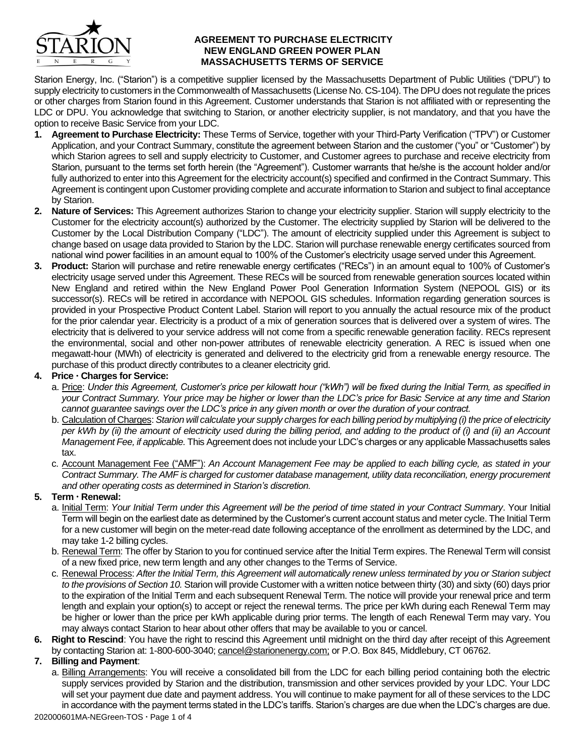

#### **AGREEMENT TO PURCHASE ELECTRICITY NEW ENGLAND GREEN POWER PLAN MASSACHUSETTS TERMS OF SERVICE**

Starion Energy, Inc. ("Starion") is a competitive supplier licensed by the Massachusetts Department of Public Utilities ("DPU") to supply electricity to customers in the Commonwealth of Massachusetts (License No. CS-104). The DPU does not regulate the prices or other charges from Starion found in this Agreement. Customer understands that Starion is not affiliated with or representing the LDC or DPU. You acknowledge that switching to Starion, or another electricity supplier, is not mandatory, and that you have the option to receive Basic Service from your LDC.

- **1. Agreement to Purchase Electricity:** These Terms of Service, together with your Third-Party Verification ("TPV") or Customer Application, and your Contract Summary, constitute the agreement between Starion and the customer ("you" or "Customer") by which Starion agrees to sell and supply electricity to Customer, and Customer agrees to purchase and receive electricity from Starion, pursuant to the terms set forth herein (the "Agreement"). Customer warrants that he/she is the account holder and/or fully authorized to enter into this Agreement for the electricity account(s) specified and confirmed in the Contract Summary. This Agreement is contingent upon Customer providing complete and accurate information to Starion and subject to final acceptance by Starion.
- **2. Nature of Services:** This Agreement authorizes Starion to change your electricity supplier. Starion will supply electricity to the Customer for the electricity account(s) authorized by the Customer. The electricity supplied by Starion will be delivered to the Customer by the Local Distribution Company ("LDC"). The amount of electricity supplied under this Agreement is subject to change based on usage data provided to Starion by the LDC. Starion will purchase renewable energy certificates sourced from national wind power facilities in an amount equal to 100% of the Customer's electricity usage served under this Agreement.
- **3. Product:** Starion will purchase and retire renewable energy certificates ("RECs") in an amount equal to 100% of Customer's electricity usage served under this Agreement. These RECs will be sourced from renewable generation sources located within New England and retired within the New England Power Pool Generation Information System (NEPOOL GIS) or its successor(s). RECs will be retired in accordance with NEPOOL GIS schedules. Information regarding generation sources is provided in your Prospective Product Content Label. Starion will report to you annually the actual resource mix of the product for the prior calendar year. Electricity is a product of a mix of generation sources that is delivered over a system of wires. The electricity that is delivered to your service address will not come from a specific renewable generation facility. RECs represent the environmental, social and other non-power attributes of renewable electricity generation. A REC is issued when one megawatt-hour (MWh) of electricity is generated and delivered to the electricity grid from a renewable energy resource. The purchase of this product directly contributes to a cleaner electricity grid.

#### **4. Price Charges for Service:**

- a. Price: *Under this Agreement, Customer's price per kilowatt hour ("kWh") will be fixed during the Initial Term, as specified in your Contract Summary. Your price may be higher or lower than the LDC's price for Basic Service at any time and Starion cannot guarantee savings over the LDC's price in any given month or over the duration of your contract.*
- b. Calculation of Charges: *Starion will calculate your supply charges for each billing period by multiplying (i) the price of electricity per kWh by (ii) the amount of electricity used during the billing period, and adding to the product of (i) and (ii) an Account Management Fee, if applicable.* This Agreement does not include your LDC's charges or any applicable Massachusetts sales tax.
- c. Account Management Fee ("AMF"): *An Account Management Fee may be applied to each billing cycle, as stated in your Contract Summary. The AMF is charged for customer database management, utility data reconciliation, energy procurement and other operating costs as determined in Starion's discretion.*

# **5. Term Renewal:**

- a. Initial Term: Your Initial Term under this Agreement will be the period of time stated in your Contract Summary. Your Initial Term will begin on the earliest date as determined by the Customer's current account status and meter cycle. The Initial Term for a new customer will begin on the meter-read date following acceptance of the enrollment as determined by the LDC, and may take 1-2 billing cycles.
- b. Renewal Term: The offer by Starion to you for continued service after the Initial Term expires. The Renewal Term will consist of a new fixed price, new term length and any other changes to the Terms of Service.
- c. Renewal Process: *After the Initial Term, this Agreement will automatically renew unless terminated by you or Starion subject to the provisions of Section 10.* Starion will provide Customer with a written notice between thirty (30) and sixty (60) days prior to the expiration of the Initial Term and each subsequent Renewal Term. The notice will provide your renewal price and term length and explain your option(s) to accept or reject the renewal terms. The price per kWh during each Renewal Term may be higher or lower than the price per kWh applicable during prior terms. The length of each Renewal Term may vary. You may always contact Starion to hear about other offers that may be available to you or cancel.
- **6. Right to Rescind**: You have the right to rescind this Agreement until midnight on the third day after receipt of this Agreement by contacting Starion at: 1-800-600-3040; cancel@starionenergy.com; or P.O. Box 845, Middlebury, CT 06762.

# **7. Billing and Payment**:

a. Billing Arrangements: You will receive a consolidated bill from the LDC for each billing period containing both the electric supply services provided by Starion and the distribution, transmission and other services provided by your LDC. Your LDC will set your payment due date and payment address. You will continue to make payment for all of these services to the LDC in accordance with the payment terms stated in the LDC's tariffs. Starion's charges are due when the LDC's charges are due.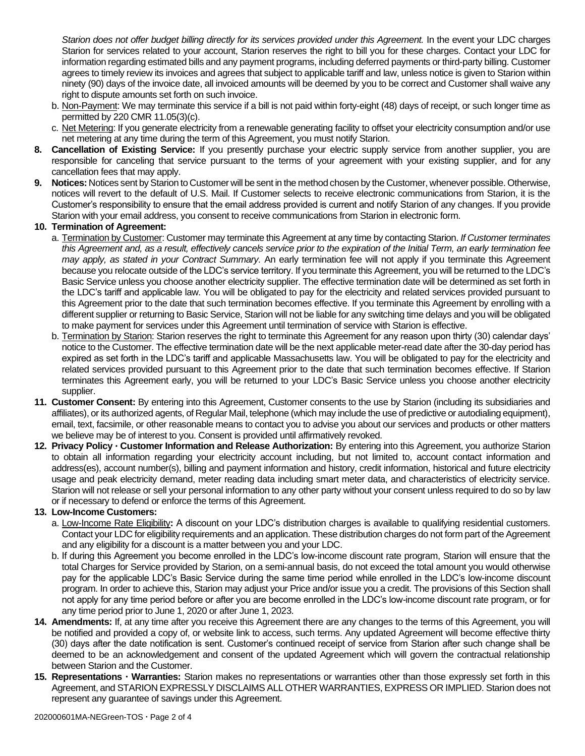*Starion does not offer budget billing directly for its services provided under this Agreement.* In the event your LDC charges Starion for services related to your account, Starion reserves the right to bill you for these charges. Contact your LDC for information regarding estimated bills and any payment programs, including deferred payments or third-party billing. Customer agrees to timely review its invoices and agrees that subject to applicable tariff and law, unless notice is given to Starion within ninety (90) days of the invoice date, all invoiced amounts will be deemed by you to be correct and Customer shall waive any right to dispute amounts set forth on such invoice.

- b. Non-Payment: We may terminate this service if a bill is not paid within forty-eight (48) days of receipt, or such longer time as permitted by 220 CMR 11.05(3)(c).
- c. Net Metering: If you generate electricity from a renewable generating facility to offset your electricity consumption and/or use net metering at any time during the term of this Agreement, you must notify Starion.
- **8. Cancellation of Existing Service:** If you presently purchase your electric supply service from another supplier, you are responsible for canceling that service pursuant to the terms of your agreement with your existing supplier, and for any cancellation fees that may apply.
- **9. Notices:** Notices sent by Starion to Customer will be sent in the method chosen by the Customer, whenever possible. Otherwise, notices will revert to the default of U.S. Mail. If Customer selects to receive electronic communications from Starion, it is the Customer's responsibility to ensure that the email address provided is current and notify Starion of any changes. If you provide Starion with your email address, you consent to receive communications from Starion in electronic form.

## **10. Termination of Agreement:**

- a. Termination by Customer: Customer may terminate this Agreement at any time by contacting Starion. *If Customer terminates this Agreement and, as a result, effectively cancels service prior to the expiration of the Initial Term, an early termination fee may apply, as stated in your Contract Summary.* An early termination fee will not apply if you terminate this Agreement because you relocate outside of the LDC's service territory. If you terminate this Agreement, you will be returned to the LDC's Basic Service unless you choose another electricity supplier. The effective termination date will be determined as set forth in the LDC's tariff and applicable law. You will be obligated to pay for the electricity and related services provided pursuant to this Agreement prior to the date that such termination becomes effective. If you terminate this Agreement by enrolling with a different supplier or returning to Basic Service, Starion will not be liable for any switching time delays and you will be obligated to make payment for services under this Agreement until termination of service with Starion is effective.
- b. Termination by Starion: Starion reserves the right to terminate this Agreement for any reason upon thirty (30) calendar days' notice to the Customer. The effective termination date will be the next applicable meter-read date after the 30-day period has expired as set forth in the LDC's tariff and applicable Massachusetts law. You will be obligated to pay for the electricity and related services provided pursuant to this Agreement prior to the date that such termination becomes effective. If Starion terminates this Agreement early, you will be returned to your LDC's Basic Service unless you choose another electricity supplier.
- **11. Customer Consent:** By entering into this Agreement, Customer consents to the use by Starion (including its subsidiaries and affiliates), or its authorized agents, of Regular Mail, telephone (which may include the use of predictive or autodialing equipment), email, text, facsimile, or other reasonable means to contact you to advise you about our services and products or other matters we believe may be of interest to you. Consent is provided until affirmatively revoked.
- **12. Privacy Policy Customer Information and Release Authorization:** By entering into this Agreement, you authorize Starion to obtain all information regarding your electricity account including, but not limited to, account contact information and address(es), account number(s), billing and payment information and history, credit information, historical and future electricity usage and peak electricity demand, meter reading data including smart meter data, and characteristics of electricity service. Starion will not release or sell your personal information to any other party without your consent unless required to do so by law or if necessary to defend or enforce the terms of this Agreement.

# **13. Low-Income Customers:**

- a. Low-Income Rate Eligibility**:** A discount on your LDC's distribution charges is available to qualifying residential customers. Contact your LDC for eligibility requirements and an application. These distribution charges do not form part of the Agreement and any eligibility for a discount is a matter between you and your LDC.
- b. If during this Agreement you become enrolled in the LDC's low-income discount rate program, Starion will ensure that the total Charges for Service provided by Starion, on a semi-annual basis, do not exceed the total amount you would otherwise pay for the applicable LDC's Basic Service during the same time period while enrolled in the LDC's low-income discount program. In order to achieve this, Starion may adjust your Price and/or issue you a credit. The provisions of this Section shall not apply for any time period before or after you are become enrolled in the LDC's low-income discount rate program, or for any time period prior to June 1, 2020 or after June 1, 2023.
- **14. Amendments:** If, at any time after you receive this Agreement there are any changes to the terms of this Agreement, you will be notified and provided a copy of, or website link to access, such terms. Any updated Agreement will become effective thirty (30) days after the date notification is sent. Customer's continued receipt of service from Starion after such change shall be deemed to be an acknowledgement and consent of the updated Agreement which will govern the contractual relationship between Starion and the Customer.
- **15. Representations Warranties:** Starion makes no representations or warranties other than those expressly set forth in this Agreement, and STARION EXPRESSLY DISCLAIMS ALL OTHER WARRANTIES, EXPRESS OR IMPLIED. Starion does not represent any guarantee of savings under this Agreement.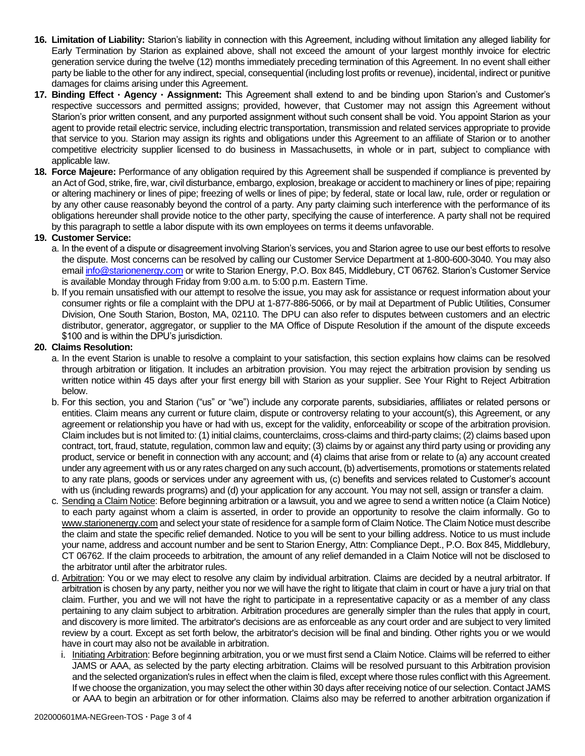- **16. Limitation of Liability:** Starion's liability in connection with this Agreement, including without limitation any alleged liability for Early Termination by Starion as explained above, shall not exceed the amount of your largest monthly invoice for electric generation service during the twelve (12) months immediately preceding termination of this Agreement. In no event shall either party be liable to the other for any indirect, special, consequential (including lost profits or revenue), incidental, indirect or punitive damages for claims arising under this Agreement.
- **17. Binding Effect Agency Assignment:** This Agreement shall extend to and be binding upon Starion's and Customer's respective successors and permitted assigns; provided, however, that Customer may not assign this Agreement without Starion's prior written consent, and any purported assignment without such consent shall be void. You appoint Starion as your agent to provide retail electric service, including electric transportation, transmission and related services appropriate to provide that service to you. Starion may assign its rights and obligations under this Agreement to an affiliate of Starion or to another competitive electricity supplier licensed to do business in Massachusetts, in whole or in part, subject to compliance with applicable law.
- **18. Force Majeure:** Performance of any obligation required by this Agreement shall be suspended if compliance is prevented by an Act of God, strike, fire, war, civil disturbance, embargo, explosion, breakage or accident to machinery or lines of pipe; repairing or altering machinery or lines of pipe; freezing of wells or lines of pipe; by federal, state or local law, rule, order or regulation or by any other cause reasonably beyond the control of a party. Any party claiming such interference with the performance of its obligations hereunder shall provide notice to the other party, specifying the cause of interference. A party shall not be required by this paragraph to settle a labor dispute with its own employees on terms it deems unfavorable.

## **19. Customer Service:**

- a. In the event of a dispute or disagreement involving Starion's services, you and Starion agree to use our best efforts to resolve the dispute. Most concerns can be resolved by calling our Customer Service Department at 1-800-600-3040. You may also emai[l info@starionenergy.com](mailto:info@starionenergy.com) or write to Starion Energy, P.O. Box 845, Middlebury, CT 06762. Starion's Customer Service is available Monday through Friday from 9:00 a.m. to 5:00 p.m. Eastern Time.
- b. If you remain unsatisfied with our attempt to resolve the issue, you may ask for assistance or request information about your consumer rights or file a complaint with the DPU at 1-877-886-5066, or by mail at Department of Public Utilities, Consumer Division, One South Starion, Boston, MA, 02110. The DPU can also refer to disputes between customers and an electric distributor, generator, aggregator, or supplier to the MA Office of Dispute Resolution if the amount of the dispute exceeds \$100 and is within the DPU's jurisdiction.

## **20. Claims Resolution:**

- a. In the event Starion is unable to resolve a complaint to your satisfaction, this section explains how claims can be resolved through arbitration or litigation. It includes an arbitration provision. You may reject the arbitration provision by sending us written notice within 45 days after your first energy bill with Starion as your supplier. See Your Right to Reject Arbitration below.
- b. For this section, you and Starion ("us" or "we") include any corporate parents, subsidiaries, affiliates or related persons or entities. Claim means any current or future claim, dispute or controversy relating to your account(s), this Agreement, or any agreement or relationship you have or had with us, except for the validity, enforceability or scope of the arbitration provision. Claim includes but is not limited to: (1) initial claims, counterclaims, cross-claims and third-party claims; (2) claims based upon contract, tort, fraud, statute, regulation, common law and equity; (3) claims by or against any third party using or providing any product, service or benefit in connection with any account; and (4) claims that arise from or relate to (a) any account created under any agreement with us or any rates charged on any such account, (b) advertisements, promotions or statements related to any rate plans, goods or services under any agreement with us, (c) benefits and services related to Customer's account with us (including rewards programs) and (d) your application for any account. You may not sell, assign or transfer a claim.
- c. Sending a Claim Notice: Before beginning arbitration or a lawsuit, you and we agree to send a written notice (a Claim Notice) to each party against whom a claim is asserted, in order to provide an opportunity to resolve the claim informally. Go to www.starionenergy.com and select your state of residence for a sample form of Claim Notice. The Claim Notice must describe the claim and state the specific relief demanded. Notice to you will be sent to your billing address. Notice to us must include your name, address and account number and be sent to Starion Energy, Attn: Compliance Dept., P.O. Box 845, Middlebury, CT 06762. If the claim proceeds to arbitration, the amount of any relief demanded in a Claim Notice will not be disclosed to the arbitrator until after the arbitrator rules.
- d. Arbitration: You or we may elect to resolve any claim by individual arbitration. Claims are decided by a neutral arbitrator. If arbitration is chosen by any party, neither you nor we will have the right to litigate that claim in court or have a jury trial on that claim. Further, you and we will not have the right to participate in a representative capacity or as a member of any class pertaining to any claim subject to arbitration. Arbitration procedures are generally simpler than the rules that apply in court, and discovery is more limited. The arbitrator's decisions are as enforceable as any court order and are subject to very limited review by a court. Except as set forth below, the arbitrator's decision will be final and binding. Other rights you or we would have in court may also not be available in arbitration.
	- i. Initiating Arbitration: Before beginning arbitration, you or we must first send a Claim Notice. Claims will be referred to either JAMS or AAA, as selected by the party electing arbitration. Claims will be resolved pursuant to this Arbitration provision and the selected organization's rules in effect when the claim is filed, except where those rules conflict with this Agreement. If we choose the organization, you may select the other within 30 days after receiving notice of our selection. Contact JAMS or AAA to begin an arbitration or for other information. Claims also may be referred to another arbitration organization if